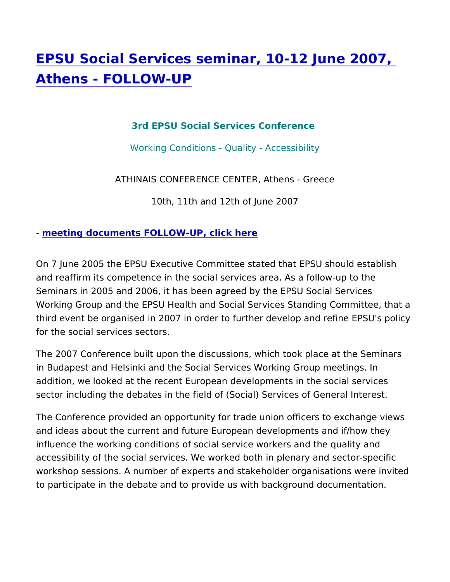## [EPSU Social Services seminar, 10-12](https://www.epsu.org/article/epsu-social-services-seminar-10-12-june-2007-athens-follow) June [Athens - FOLLOW](https://www.epsu.org/article/epsu-social-services-seminar-10-12-june-2007-athens-follow)-UP

## 3rd EPSU Social Services Conference

Working Conditions - Quality - Accessibility

## ATHINAIS CONFERENCE CENTER, Athens - Greece

10th, 11th and 12th of June 2007

## - [meeting documents FOLLOW-UP, c](https://www.epsu.orgrub329)lick here

On 7 June 2005 the EPSU Executive Committee stated that EPSU and reaffirm its competence in the social services area. As a foll Seminars in 2005 and 2006, it has been agreed by the EPSU Social Working Group and the EPSU Health and Social Services Standing third event be organised in 2007 in order to further develop and r for the social services sectors.

The 2007 Conference built upon the discussions, which took place in Budapest and Helsinki and the Social Services Working Group addition, we looked at the recent European developments in the s sector including the debates in the field of (Social) Services of G

The Conference provided an opportunity for trade union officers t and ideas about the current and future European developments an influence the working conditions of social service workers and the accessibility of the social services. We worked both in plenary are workshop sessions. A number of experts and stakeholder organisations were invited to the invited states or ganisations and were invited to the united states or ganisations and were invited to the united states or ganisatio to participate in the debate and to provide us with background do